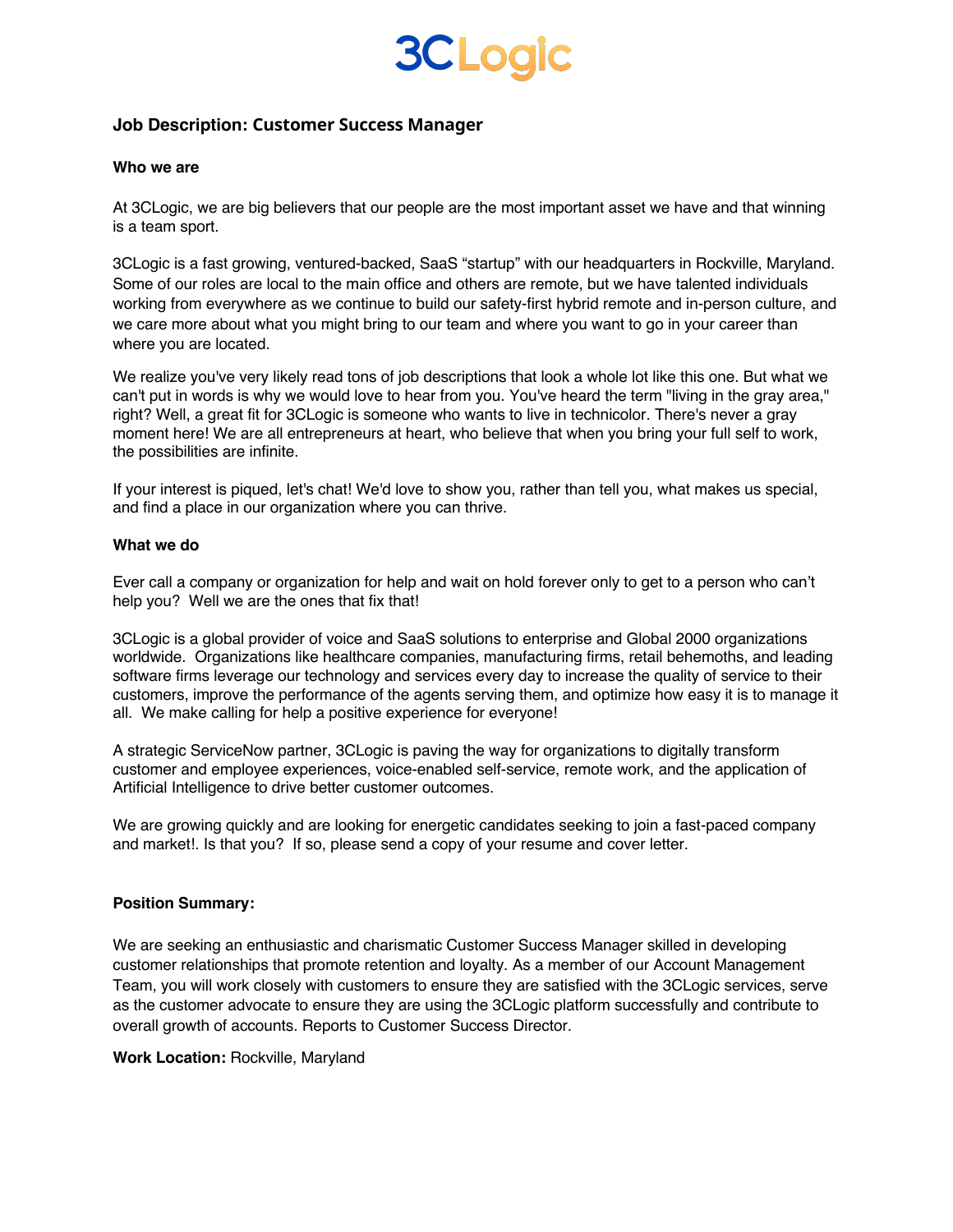### **3CLogic**

### **Job Description: Customer Success Manager**

### **Who we are**

At 3CLogic, we are big believers that our people are the most important asset we have and that winning is a team sport.

3CLogic is a fast growing, ventured-backed, SaaS "startup" with our headquarters in Rockville, Maryland. Some of our roles are local to the main office and others are remote, but we have talented individuals working from everywhere as we continue to build our safety-first hybrid remote and in-person culture, and we care more about what you might bring to our team and where you want to go in your career than where you are located.

We realize you've very likely read tons of job descriptions that look a whole lot like this one. But what we can't put in words is why we would love to hear from you. You've heard the term "living in the gray area," right? Well, a great fit for 3CLogic is someone who wants to live in technicolor. There's never a gray moment here! We are all entrepreneurs at heart, who believe that when you bring your full self to work, the possibilities are infinite.

If your interest is piqued, let's chat! We'd love to show you, rather than tell you, what makes us special, and find a place in our organization where you can thrive.

#### **What we do**

Ever call a company or organization for help and wait on hold forever only to get to a person who can't help you? Well we are the ones that fix that!

3CLogic is a global provider of voice and SaaS solutions to enterprise and Global 2000 organizations worldwide. Organizations like healthcare companies, manufacturing firms, retail behemoths, and leading software firms leverage our technology and services every day to increase the quality of service to their customers, improve the performance of the agents serving them, and optimize how easy it is to manage it all. We make calling for help a positive experience for everyone!

A strategic ServiceNow partner, 3CLogic is paving the way for organizations to digitally transform customer and employee experiences, voice-enabled self-service, remote work, and the application of Artificial Intelligence to drive better customer outcomes.

We are growing quickly and are looking for energetic candidates seeking to join a fast-paced company and market!. Is that you? If so, please send a copy of your resume and cover letter.

### **Position Summary:**

We are seeking an enthusiastic and charismatic Customer Success Manager skilled in developing customer relationships that promote retention and loyalty. As a member of our Account Management Team, you will work closely with customers to ensure they are satisfied with the 3CLogic services, serve as the customer advocate to ensure they are using the 3CLogic platform successfully and contribute to overall growth of accounts. Reports to Customer Success Director.

### **Work Location:** Rockville, Maryland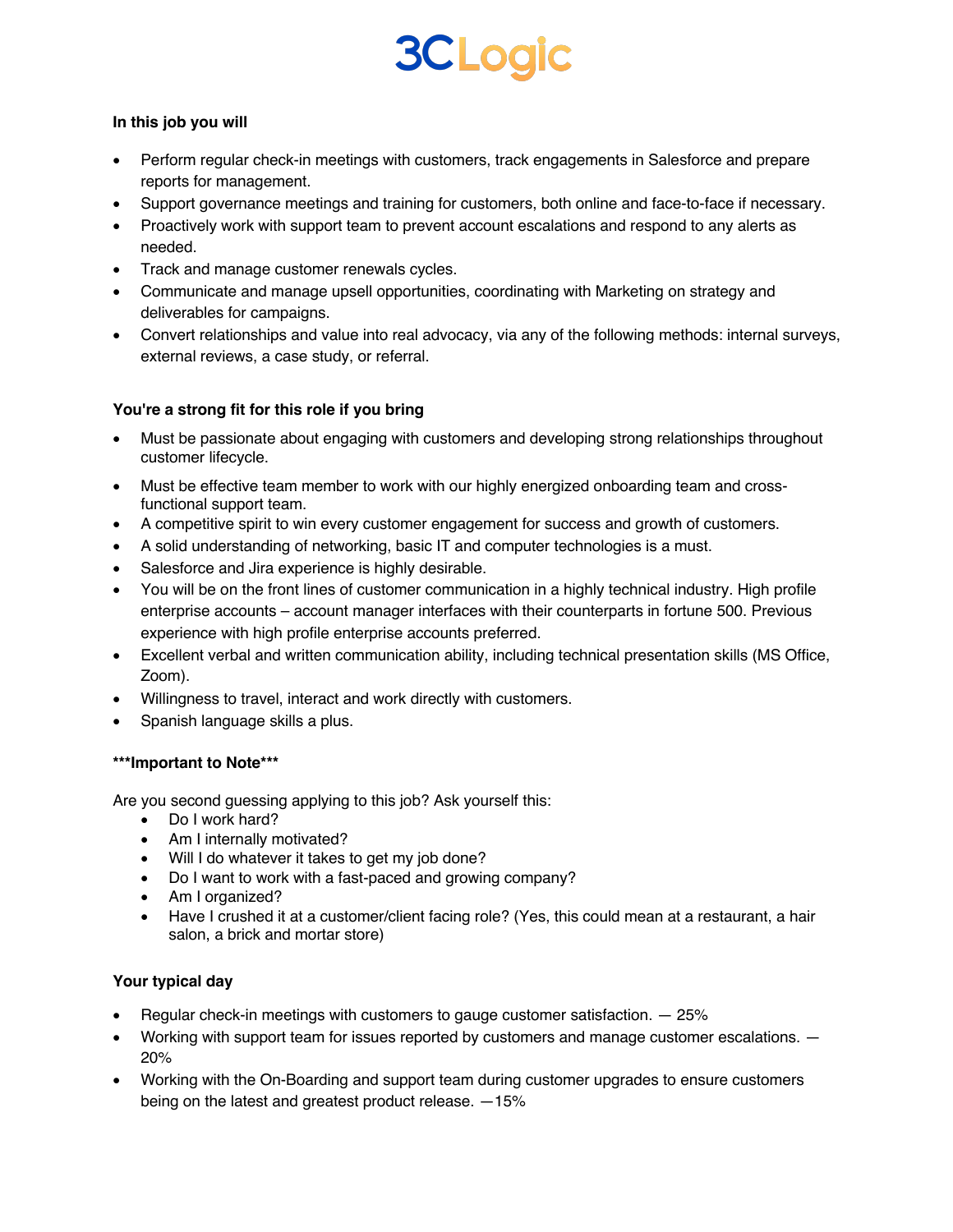# **3CLogic**

### **In this job you will**

- Perform regular check-in meetings with customers, track engagements in Salesforce and prepare reports for management.
- Support governance meetings and training for customers, both online and face-to-face if necessary.
- Proactively work with support team to prevent account escalations and respond to any alerts as needed.
- Track and manage customer renewals cycles.
- Communicate and manage upsell opportunities, coordinating with Marketing on strategy and deliverables for campaigns.
- Convert relationships and value into real advocacy, via any of the following methods: internal surveys, external reviews, a case study, or referral.

### **You're a strong fit for this role if you bring**

- Must be passionate about engaging with customers and developing strong relationships throughout customer lifecycle.
- Must be effective team member to work with our highly energized onboarding team and crossfunctional support team.
- A competitive spirit to win every customer engagement for success and growth of customers.
- A solid understanding of networking, basic IT and computer technologies is a must.
- Salesforce and Jira experience is highly desirable.
- You will be on the front lines of customer communication in a highly technical industry. High profile enterprise accounts – account manager interfaces with their counterparts in fortune 500. Previous experience with high profile enterprise accounts preferred.
- Excellent verbal and written communication ability, including technical presentation skills (MS Office, Zoom).
- Willingness to travel, interact and work directly with customers.
- Spanish language skills a plus.

### **\*\*\*Important to Note\*\*\***

Are you second guessing applying to this job? Ask yourself this:

- Do I work hard?
- Am I internally motivated?
- Will I do whatever it takes to get my job done?
- Do I want to work with a fast-paced and growing company?
- Am I organized?
- Have I crushed it at a customer/client facing role? (Yes, this could mean at a restaurant, a hair salon, a brick and mortar store)

### **Your typical day**

- Regular check-in meetings with customers to gauge customer satisfaction. 25%
- Working with support team for issues reported by customers and manage customer escalations. 20%
- Working with the On-Boarding and support team during customer upgrades to ensure customers being on the latest and greatest product release. —15%